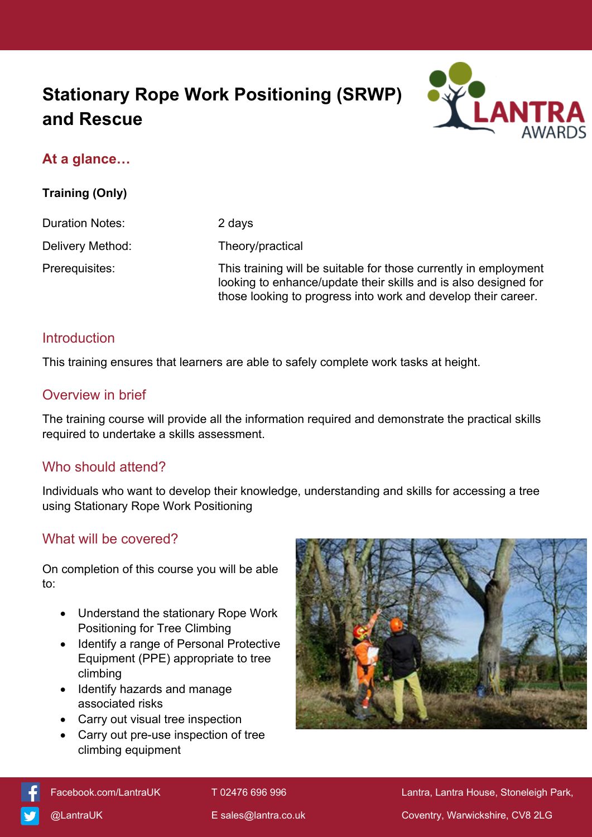# **Stationary Rope Work Positioning (SRWP) and Rescue**



# **At a glance…**

**Training (Only)**

Duration Notes: 2 days

Delivery Method: Theory/practical

Prerequisites: This training will be suitable for those currently in employment looking to enhance/update their skills and is also designed for those looking to progress into work and develop their career.

# **Introduction**

This training ensures that learners are able to safely complete work tasks at height.

#### Overview in brief

The training course will provide all the information required and demonstrate the practical skills required to undertake a skills assessment.

# Who should attend?

Individuals who want to develop their knowledge, understanding and skills for accessing a tree using Stationary Rope Work Positioning

# What will be covered?

On completion of this course you will be able to:

- Understand the stationary Rope Work Positioning for Tree Climbing
- Identify a range of Personal Protective Equipment (PPE) appropriate to tree climbing
- Identify hazards and manage associated risks
- Carry out visual tree inspection
- Carry out pre-use inspection of tree climbing equipment





[Facebook.com/LantraUK](https://www.facebook.com/LantraUK/) T 02476 696 996 Lantra, Lantra, Lantra House, Stoneleigh Park, [@LantraUK](http://www.twitter.com/lantrauk) E [sales@lantra.co.uk](mailto:sales@lantra.co.uk) Coventry, Warwickshire, CV8 2LG